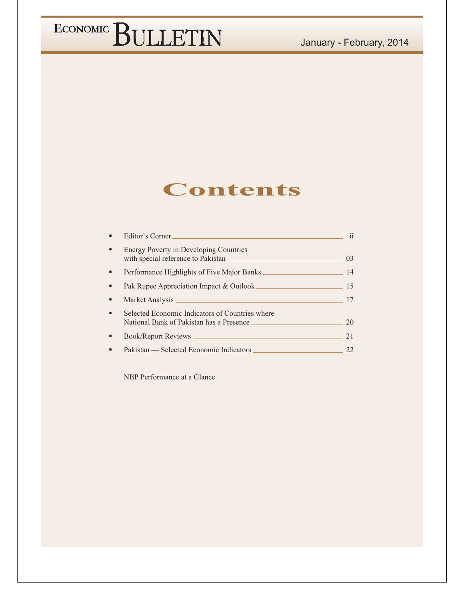#### January - February, 2014

## ECONOMIC BULLETIN

### **Contents**

| Editor's Corner                                                                             | 11      |
|---------------------------------------------------------------------------------------------|---------|
| <b>Energy Poverty in Developing Countries</b>                                               | $( )$ 3 |
| Performance Highlights of Five Major Banks                                                  | 14      |
|                                                                                             | 15      |
|                                                                                             | 17      |
| Selected Economic Indicators of Countries where<br>National Bank of Pakistan has a Presence | 20      |
| Book/Report Reviews                                                                         | 21      |
| Pakistan — Selected Economic Indicators                                                     | フフ      |

NBP Performance at a Glance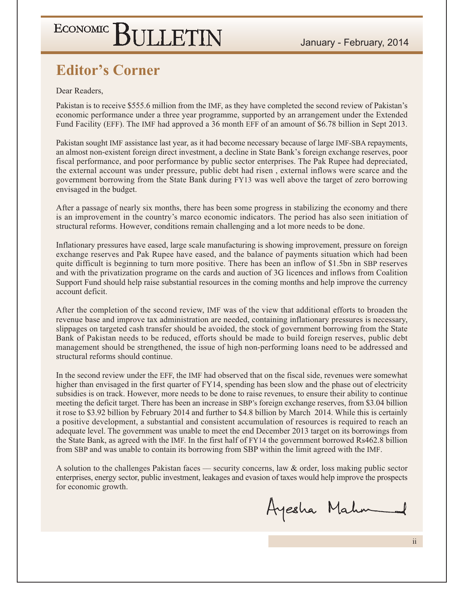### **Editor's Corner**

Dear Readers.

Pakistan is to receive \$555.6 million from the IMF, as they have completed the second review of Pakistan's economic performance under a three year programme, supported by an arrangement under the Extended Fund Facility (EFF). The IMF had approved a 36 month EFF of an amount of \$6.78 billion in Sept 2013.

Pakistan sought IMF assistance last year, as it had become necessary because of large IMF-SBA repayments, an almost non-existent foreign direct investment, a decline in State Bank's foreign exchange reserves, poor fiscal performance, and poor performance by public sector enterprises. The Pak Rupee had depreciated, the external account was under pressure, public debt had risen, external inflows were scarce and the government borrowing from the State Bank during FY13 was well above the target of zero borrowing envisaged in the budget.

After a passage of nearly six months, there has been some progress in stabilizing the economy and there is an improvement in the country's marco economic indicators. The period has also seen initiation of structural reforms. However, conditions remain challenging and a lot more needs to be done.

Inflationary pressures have eased, large scale manufacturing is showing improvement, pressure on foreign exchange reserves and Pak Rupee have eased, and the balance of payments situation which had been quite difficult is beginning to turn more positive. There has been an inflow of \$1.5bn in SBP reserves and with the privatization programe on the cards and auction of 3G licences and inflows from Coalition Support Fund should help raise substantial resources in the coming months and help improve the currency account deficit.

After the completion of the second review, IMF was of the view that additional efforts to broaden the revenue base and improve tax administration are needed, containing inflationary pressures is necessary, slippages on targeted cash transfer should be avoided, the stock of government borrowing from the State Bank of Pakistan needs to be reduced, efforts should be made to build foreign reserves, public debt management should be strengthened, the issue of high non-performing loans need to be addressed and structural reforms should continue.

In the second review under the EFF, the IMF had observed that on the fiscal side, revenues were somewhat higher than envisaged in the first quarter of FY14, spending has been slow and the phase out of electricity subsidies is on track. However, more needs to be done to raise revenues, to ensure their ability to continue meeting the deficit target. There has been an increase in SBP's foreign exchange reserves, from \$3.04 billion it rose to \$3.92 billion by February 2014 and further to \$4.8 billion by March 2014. While this is certainly a positive development, a substantial and consistent accumulation of resources is required to reach an adequate level. The government was unable to meet the end December 2013 target on its borrowings from the State Bank, as agreed with the IMF. In the first half of FY14 the government borrowed Rs462.8 billion from SBP and was unable to contain its borrowing from SBP within the limit agreed with the IMF.

A solution to the challenges Pakistan faces — security concerns, law & order, loss making public sector enterprises, energy sector, public investment, leakages and evasion of taxes would help improve the prospects for economic growth.

Ayesha Mahmed

 $\mathbf{ii}$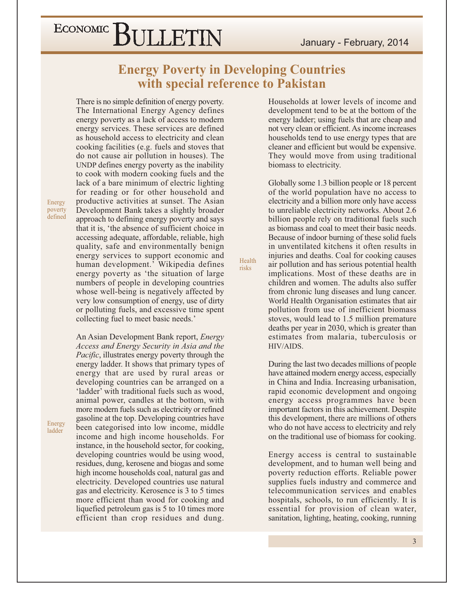#### January - February, 2014

### ECONOMIC BULLETIN

**Energy Poverty in Developing Countries** with special reference to Pakistan

Health

risks

There is no simple definition of energy poverty. The International Energy Agency defines energy poverty as a lack of access to modern energy services. These services are defined as household access to electricity and clean cooking facilities (e.g. fuels and stoves that do not cause air pollution in houses). The UNDP defines energy poverty as the inability to cook with modern cooking fuels and the lack of a bare minimum of electric lighting for reading or for other household and productive activities at sunset. The Asian Development Bank takes a slightly broader approach to defining energy poverty and says that it is, 'the absence of sufficient choice in accessing adequate, affordable, reliable, high quality, safe and environmentally benign energy services to support economic and human development.' Wikipedia defines energy poverty as 'the situation of large numbers of people in developing countries whose well-being is negatively affected by very low consumption of energy, use of dirty or polluting fuels, and excessive time spent

An Asian Development Bank report, Energy Access and Energy Security in Asia and the *Pacific*, illustrates energy poverty through the energy ladder. It shows that primary types of energy that are used by rural areas or developing countries can be arranged on a 'ladder' with traditional fuels such as wood, animal power, candles at the bottom, with more modern fuels such as electricity or refined gasoline at the top. Developing countries have been categorised into low income, middle income and high income households. For instance, in the household sector, for cooking, developing countries would be using wood, residues, dung, kerosene and biogas and some high income households coal, natural gas and electricity. Developed countries use natural gas and electricity. Kerosence is 3 to 5 times more efficient than wood for cooking and liquefied petroleum gas is 5 to 10 times more efficient than crop residues and dung.

collecting fuel to meet basic needs.'

Households at lower levels of income and development tend to be at the bottom of the energy ladder; using fuels that are cheap and not very clean or efficient. As income increases households tend to use energy types that are cleaner and efficient but would be expensive. They would move from using traditional biomass to electricity.

Globally some 1.3 billion people or 18 percent of the world population have no access to electricity and a billion more only have access to unreliable electricity networks. About 2.6 billion people rely on traditional fuels such as biomass and coal to meet their basic needs. Because of indoor burning of these solid fuels in unventilated kitchens it often results in injuries and deaths. Coal for cooking causes air pollution and has serious potential health implications. Most of these deaths are in children and women. The adults also suffer from chronic lung diseases and lung cancer. World Health Organisation estimates that air pollution from use of inefficient biomass stoves, would lead to 1.5 million premature deaths per year in 2030, which is greater than estimates from malaria, tuberculosis or HIV/AIDS.

During the last two decades millions of people have attained modern energy access, especially in China and India. Increasing urbanisation. rapid economic development and ongoing energy access programmes have been important factors in this achievement. Despite this development, there are millions of others who do not have access to electricity and rely on the traditional use of biomass for cooking.

Energy access is central to sustainable development, and to human well being and poverty reduction efforts. Reliable power supplies fuels industry and commerce and telecommunication services and enables hospitals, schools, to run efficiently. It is essential for provision of clean water, sanitation, lighting, heating, cooking, running

Energy poverty defined

Energy ladder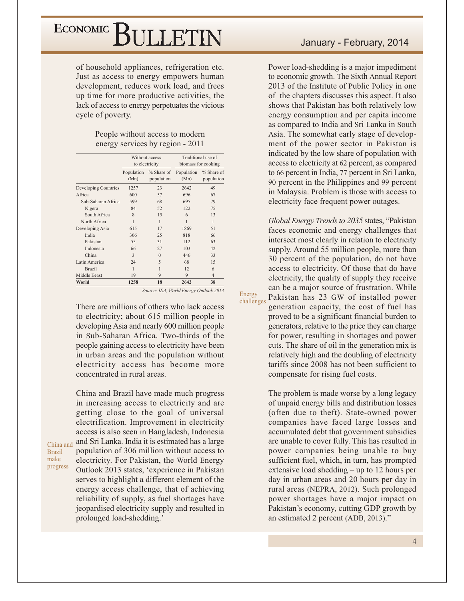of household appliances, refrigeration etc. Just as access to energy empowers human development, reduces work load, and frees up time for more productive activities, the lack of access to energy perpetuates the vicious cycle of poverty.

#### People without access to modern energy services by region - 2011

|                      |                    | Without access<br>to electricity |                    | Traditional use of<br>biomass for cooking |
|----------------------|--------------------|----------------------------------|--------------------|-------------------------------------------|
|                      | Population<br>(Mn) | % Share of<br>population         | Population<br>(Mn) | % Share of<br>population                  |
| Developing Countries | 1257               | 23                               | 2642               | 49                                        |
| Africa               | 600                | 57                               | 696                | 67                                        |
| Sub-Saharan Africa   | 599                | 68                               | 695                | 79                                        |
| Nigera               | 84                 | 52                               | 122                | 75                                        |
| South Africa         | 8                  | 15                               | 6                  | 13                                        |
| North Africa         | 1                  | 1                                | 1                  | 1                                         |
| Developing Asia      | 615                | 17                               | 1869               | 51                                        |
| India                | 306                | 25                               | 818                | 66                                        |
| Pakistan             | 55                 | 31                               | 112                | 63                                        |
| Indonesia            | 66                 | 27                               | 103                | 42                                        |
| China                | 3                  | $\Omega$                         | 446                | 33                                        |
| Latin America        | 24                 | 5                                | 68                 | 15                                        |
| <b>Brazil</b>        | 1                  | 1                                | 12                 | 6                                         |
| Middle Eeast         | 19                 | 9                                | 9                  | $\overline{4}$                            |
| World                | 1258               | 18                               | 2642               | 38                                        |

Source: IEA, World Energy Outlook 2013

Energy

challenges

There are millions of others who lack access to electricity; about 615 million people in developing Asia and nearly 600 million people in Sub-Saharan Africa. Two-thirds of the people gaining access to electricity have been in urban areas and the population without electricity access has become more concentrated in rural areas.

China and Brazil have made much progress in increasing access to electricity and are getting close to the goal of universal electrification. Improvement in electricity access is also seen in Bangladesh, Indonesia and Sri Lanka. India it is estimated has a large population of 306 million without access to electricity. For Pakistan, the World Energy Outlook 2013 states, 'experience in Pakistan serves to highlight a different element of the energy access challenge, that of achieving reliability of supply, as fuel shortages have jeopardised electricity supply and resulted in prolonged load-shedding.'

China and

**Brazil** make

progress

Power load-shedding is a major impediment to economic growth. The Sixth Annual Report 2013 of the Institute of Public Policy in one of the chapters discusses this aspect. It also shows that Pakistan has both relatively low energy consumption and per capita income as compared to India and Sri Lanka in South Asia. The somewhat early stage of development of the power sector in Pakistan is indicated by the low share of population with access to electricity at 62 percent, as compared to 66 percent in India, 77 percent in Sri Lanka, 90 percent in the Philippines and 99 percent in Malaysia. Problem is those with access to electricity face frequent power outages.

Global Energy Trends to 2035 states, "Pakistan faces economic and energy challenges that intersect most clearly in relation to electricity supply. Around 55 million people, more than 30 percent of the population, do not have access to electricity. Of those that do have electricity, the quality of supply they receive can be a major source of frustration. While Pakistan has 23 GW of installed power generation capacity, the cost of fuel has proved to be a significant financial burden to generators, relative to the price they can charge for power, resulting in shortages and power cuts. The share of oil in the generation mix is relatively high and the doubling of electricity tariffs since 2008 has not been sufficient to compensate for rising fuel costs.

The problem is made worse by a long legacy of unpaid energy bills and distribution losses (often due to theft). State-owned power companies have faced large losses and accumulated debt that government subsidies are unable to cover fully. This has resulted in power companies being unable to buy sufficient fuel, which, in turn, has prompted extensive load shedding  $-$  up to 12 hours per day in urban areas and 20 hours per day in rural areas (NEPRA, 2012). Such prolonged power shortages have a major impact on Pakistan's economy, cutting GDP growth by an estimated 2 percent (ADB, 2013)."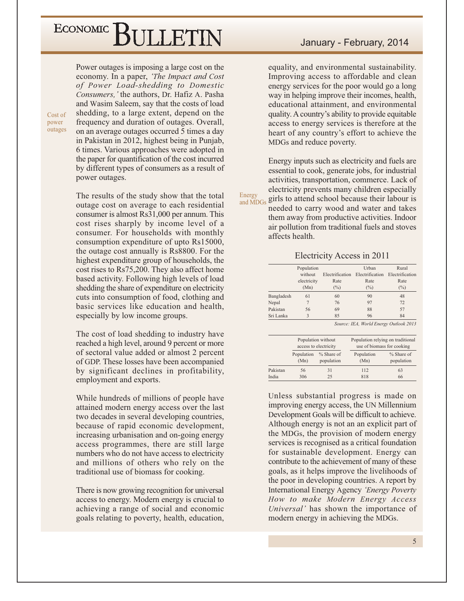Cost of

power

outages

Power outages is imposing a large cost on the economy. In a paper, 'The Impact and Cost of Power Load-shedding to Domestic Consumers, 'the authors, Dr. Hafiz A. Pasha and Wasim Saleem, say that the costs of load shedding, to a large extent, depend on the frequency and duration of outages. Overall, on an average outages occurred 5 times a day in Pakistan in 2012, highest being in Punjab, 6 times. Various approaches were adopted in the paper for quantification of the cost incurred by different types of consumers as a result of power outages.

The results of the study show that the total outage cost on average to each residential consumer is almost Rs31,000 per annum. This cost rises sharply by income level of a consumer. For households with monthly consumption expenditure of upto Rs15000, the outage cost annually is Rs8800. For the highest expenditure group of households, the cost rises to Rs75,200. They also affect home based activity. Following high levels of load shedding the share of expenditure on electricity cuts into consumption of food, clothing and basic services like education and health. especially by low income groups.

The cost of load shedding to industry have reached a high level, around 9 percent or more of sectoral value added or almost 2 percent of GDP. These losses have been accompanied by significant declines in profitability, employment and exports.

While hundreds of millions of people have attained modern energy access over the last two decades in several developing countries, because of rapid economic development, increasing urbanisation and on-going energy access programmes, there are still large numbers who do not have access to electricity and millions of others who rely on the traditional use of biomass for cooking.

There is now growing recognition for universal access to energy. Modern energy is crucial to achieving a range of social and economic goals relating to poverty, health, education,

equality, and environmental sustainability. Improving access to affordable and clean energy services for the poor would go a long way in helping improve their incomes, health, educational attainment, and environmental quality. A country's ability to provide equitable access to energy services is therefore at the heart of any country's effort to achieve the MDGs and reduce poverty.

Energy inputs such as electricity and fuels are essential to cook, generate jobs, for industrial activities, transportation, commerce. Lack of electricity prevents many children especially girls to attend school because their labour is and MDGs

Energy

needed to carry wood and water and takes them away from productive activities. Indoor air pollution from traditional fuels and stoves affects health.

Electricity Access in 2011

|            | Population   |                 | Urban           | Rural           |
|------------|--------------|-----------------|-----------------|-----------------|
|            | without      | Electrification | Electrification | Electrification |
|            | electricity  | Rate            | Rate            | Rate            |
|            | (Mn)         | $(\%)$          | $(\%)$          | $(\%)$          |
| Bangladesh | 61           | 60              | 90              | 48              |
| Nepal      |              | 76              | 97              | 72              |
| Pakistan   | 56           | 69              | 88              | 57              |
| Sri Lanka  | $\mathbf{3}$ | 85              | 96              | 84              |

Source: IEA, World Energy Outlook 2013

|          |            | Population without<br>access to electricity |            | Population relying on traditional<br>use of biomass for cooking |
|----------|------------|---------------------------------------------|------------|-----------------------------------------------------------------|
|          | Population | % Share of                                  | Population | % Share of                                                      |
|          | (Mn)       | population                                  | (Mn)       | population                                                      |
| Pakistan | 56         | 31                                          | 112        | 63                                                              |
| India    | 306        | 25                                          | 818        | 66                                                              |

Unless substantial progress is made on improving energy access, the UN Millennium Development Goals will be difficult to achieve. Although energy is not an an explicit part of the MDGs, the provision of modern energy services is recognised as a critical foundation for sustainable development. Energy can contribute to the achievement of many of these goals, as it helps improve the livelihoods of the poor in developing countries. A report by International Energy Agency 'Energy Poverty How to make Modern Energy Access Universal' has shown the importance of modern energy in achieving the MDGs.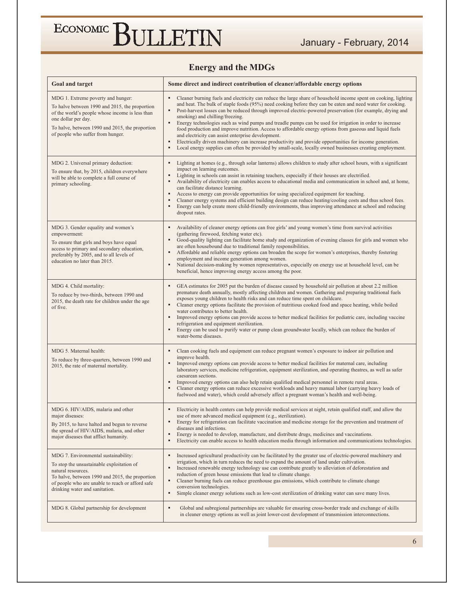#### **Energy and the MDGs**

| Goal and target                                                                                                                                                                                                                                        | Some direct and indirect contribution of cleaner/affordable energy options                                                                                                                                                                                                                                                                                                                                                                                                                                                                                                                                                                                                                                                                                                                                                                                                                                                  |
|--------------------------------------------------------------------------------------------------------------------------------------------------------------------------------------------------------------------------------------------------------|-----------------------------------------------------------------------------------------------------------------------------------------------------------------------------------------------------------------------------------------------------------------------------------------------------------------------------------------------------------------------------------------------------------------------------------------------------------------------------------------------------------------------------------------------------------------------------------------------------------------------------------------------------------------------------------------------------------------------------------------------------------------------------------------------------------------------------------------------------------------------------------------------------------------------------|
| MDG 1. Extreme poverty and hunger:<br>To halve between 1990 and 2015, the proportion<br>of the world's people whose income is less than<br>one dollar per day.<br>To halve, between 1990 and 2015, the proportion<br>of people who suffer from hunger. | Cleaner burning fuels and electricity can reduce the large share of household income spent on cooking, lighting<br>٠<br>and heat. The bulk of staple foods (95%) need cooking before they can be eaten and need water for cooking.<br>$\blacksquare$<br>Post-harvest losses can be reduced through improved electric-powered preservation (for example, drying and<br>smoking) and chilling/freezing.<br>Energy technologies such as wind pumps and treadle pumps can be used for irrigation in order to increase<br>٠<br>food production and improve nutrition. Access to affordable energy options from gaseous and liquid fuels<br>and electricity can assist enterprise development.<br>Electrically driven machinery can increase productivity and provide opportunities for income generation.<br>٠<br>٠<br>Local energy supplies can often be provided by small-scale, locally owned businesses creating employment. |
| MDG 2. Universal primary deduction:<br>To ensure that, by 2015, children everywhere<br>will be able to complete a full course of<br>primary schooling.                                                                                                 | Lighting at homes (e.g., through solar lanterns) allows children to study after school hours, with a significant<br>impact on learning outcomes.<br>Lighting in schools can assist in retaining teachers, especially if their houses are electrified.<br>Availability of electricity can enables access to educational media and communication in school and, at home,<br>can facilitate distance learning.<br>Access to energy can provide opportunities for using specialized equipment for teaching.<br>٠<br>Cleaner energy systems and efficient building design can reduce heating/cooling costs and thus school fees.<br>Energy can help create more child-friendly environments, thus improving attendance at school and reducing<br>٠<br>dropout rates.                                                                                                                                                             |
| MDG 3. Gender equality and women's<br>empowerment:<br>To ensure that girls and boys have equal<br>access to primary and secondary education,<br>preferably by 2005, and to all levels of<br>education no later than 2015.                              | Availability of cleaner energy options can free girls' and young women's time from survival activities<br>(gathering firewood, fetching water etc).<br>Good-quality lighting can facilitate home study and organization of evening classes for girls and women who<br>are often housebound due to traditional family responsibilities.<br>Affordable and reliable energy options can broaden the scope for women's enterprises, thereby fostering<br>employment and income generation among women.<br>National decision-making by women representatives, especially on energy use at household level, can be<br>٠<br>beneficial, hence improving energy access among the poor.                                                                                                                                                                                                                                              |
| MDG 4. Child mortality:<br>To reduce by two-thirds, between 1990 and<br>2015, the death rate for children under the age<br>of five.                                                                                                                    | GEA estimates for 2005 put the burden of disease caused by household air pollution at about 2.2 million<br>premature death annually, mostly affecting children and women. Gathering and preparing traditional fuels<br>exposes young children to health risks and can reduce time spent on childcare.<br>Cleaner energy options facilitate the provision of nutritious cooked food and space heating, while boiled<br>water contributes to better health.<br>$\blacksquare$<br>Improved energy options can provide access to better medical facilities for pediatric care, including vaccine<br>refrigeration and equipment sterilization.<br>Energy can be used to purify water or pump clean groundwater locally, which can reduce the burden of<br>٠<br>water-borne diseases.                                                                                                                                            |
| MDG 5. Maternal health:<br>To reduce by three-quarters, between 1990 and<br>2015, the rate of maternal mortality.                                                                                                                                      | Clean cooking fuels and equipment can reduce pregnant women's exposure to indoor air pollution and<br>improve health.<br>Improved energy options can provide access to better medical facilities for maternal care, including<br>laboratory services, medicine refrigeration, equipment sterilization, and operating theatres, as well as safer<br>caesarean sections.<br>Improved energy options can also help retain qualified medical personnel in remote rural areas.<br>Cleaner energy options can reduce excessive workloads and heavy manual labor (carrying heavy loads of<br>٠<br>fuelwood and water), which could adversely affect a pregnant woman's health and well-being.                                                                                                                                                                                                                                      |
| MDG 6. HIV/AIDS, malaria and other<br>maior diseases:<br>By 2015, to have halted and begun to reverse<br>the spread of HIV/AIDS, malaria, and other<br>major diseases that afflict humanity.                                                           | Electricity in health centers can help provide medical services at night, retain qualified staff, and allow the<br>use of more advanced medical equipment (e.g., sterilization).<br>Energy for refrigeration can facilitate vaccination and medicine storage for the prevention and treatment of<br>٠<br>diseases and infections.<br>Energy is needed to develop, manufacture, and distribute drugs, medicines and vaccinations.<br>٠<br>Electricity can enable access to health education media through information and communications technologies.<br>٠                                                                                                                                                                                                                                                                                                                                                                  |
| MDG 7. Environmental sustainability:<br>To stop the unsustainable exploitation of<br>natural resources.<br>To halve, between 1990 and 2015, the proportion<br>of people who are unable to reach or afford safe<br>drinking water and sanitation.       | Increased agricultural productivity can be facilitated by the greater use of electric-powered machinery and<br>٠<br>irrigation, which in turn reduces the need to expand the amount of land under cultivation.<br>Increased renewable energy technology use can contribute greatly to alleviation of deforestation and<br>٠<br>reduction of green house emissions that lead to climate change.<br>Cleaner burning fuels can reduce greenhouse gas emissions, which contribute to climate change<br>٠<br>conversion technologies.<br>Simple cleaner energy solutions such as low-cost sterilization of drinking water can save many lives.<br>٠                                                                                                                                                                                                                                                                              |
| MDG 8. Global partnership for development                                                                                                                                                                                                              | Global and subregional partnerships are valuable for ensuring cross-border trade and exchange of skills<br>٠<br>in cleaner energy options as well as joint lower-cost development of transmission interconnections.                                                                                                                                                                                                                                                                                                                                                                                                                                                                                                                                                                                                                                                                                                         |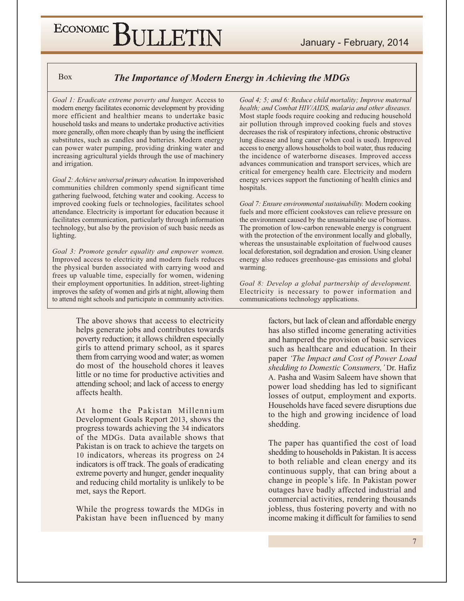#### January - February, 2014

### ECONOMIC BULLETIN

**Box** 

#### The Importance of Modern Energy in Achieving the MDGs

Goal 1: Eradicate extreme poverty and hunger. Access to modern energy facilitates economic development by providing more efficient and healthier means to undertake basic household tasks and means to undertake productive activities more generally, often more cheaply than by using the inefficient substitutes, such as candles and batteries. Modern energy can power water pumping, providing drinking water and increasing agricultural yields through the use of machinery and irrigation.

Goal 2: Achieve universal primary education. In impoverished communities children commonly spend significant time gathering fuelwood, fetching water and cooking. Access to improved cooking fuels or technologies, facilitates school attendance. Electricity is important for education because it facilitates communication, particularly through information technology, but also by the provision of such basic needs as lighting.

Goal 3: Promote gender equality and empower women. Improved access to electricity and modern fuels reduces the physical burden associated with carrying wood and frees up valuable time, especially for women, widening their employment opportunities. In addition, street-lighting improves the safety of women and girls at night, allowing them to attend night schools and participate in community activities.

> The above shows that access to electricity helps generate jobs and contributes towards poverty reduction; it allows children especially girls to attend primary school, as it spares them from carrying wood and water; as women do most of the household chores it leaves little or no time for productive activities and attending school; and lack of access to energy affects health.

> At home the Pakistan Millennium Development Goals Report 2013, shows the progress towards achieving the 34 indicators of the MDGs. Data available shows that Pakistan is on track to achieve the targets on 10 indicators, whereas its progress on 24 indicators is off track. The goals of eradicating extreme poverty and hunger, gender inequality and reducing child mortality is unlikely to be met, says the Report.

> While the progress towards the MDGs in Pakistan have been influenced by many

Goal 4; 5; and 6: Reduce child mortality; Improve maternal health; and Combat HIV/AIDS, malaria and other diseases. Most staple foods require cooking and reducing household air pollution through improved cooking fuels and stoves decreases the risk of respiratory infections, chronic obstructive lung disease and lung caner (when coal is used). Improved access to energy allows households to boil water, thus reducing the incidence of waterborne diseases. Improved access advances communication and transport services, which are critical for emergency health care. Electricity and modern energy services support the functioning of health clinics and hospitals.

Goal 7: Ensure environmental sustainability. Modern cooking fuels and more efficient cookstoves can relieve pressure on the environment caused by the unsustainable use of biomass. The promotion of low-carbon renewable energy is congruent with the protection of the environment locally and globally, whereas the unsustainable exploitation of fuelwood causes local deforestation, soil degradation and erosion. Using cleaner energy also reduces greenhouse-gas emissions and global warming.

Goal 8: Develop a global partnership of development. Electricity is necessary to power information and communications technology applications.

> factors, but lack of clean and affordable energy has also stifled income generating activities and hampered the provision of basic services such as healthcare and education. In their paper 'The Impact and Cost of Power Load shedding to Domestic Consumers, 'Dr. Hafiz A. Pasha and Wasim Saleem have shown that power load shedding has led to significant losses of output, employment and exports. Households have faced severe disruptions due to the high and growing incidence of load shedding.

> The paper has quantified the cost of load shedding to households in Pakistan. It is access to both reliable and clean energy and its continuous supply, that can bring about a change in people's life. In Pakistan power outages have badly affected industrial and commercial activities, rendering thousands jobless, thus fostering poverty and with no income making it difficult for families to send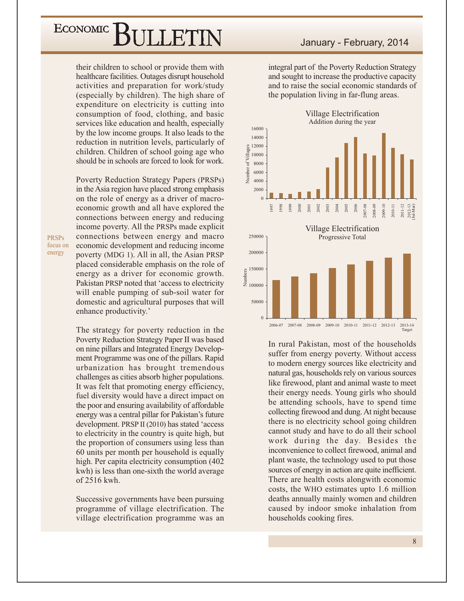their children to school or provide them with healthcare facilities. Outages disrupt household activities and preparation for work/study (especially by children). The high share of expenditure on electricity is cutting into consumption of food, clothing, and basic services like education and health, especially by the low income groups. It also leads to the reduction in nutrition levels, particularly of children. Children of school going age who should be in schools are forced to look for work.

Poverty Reduction Strategy Papers (PRSPs) in the Asia region have placed strong emphasis on the role of energy as a driver of macroeconomic growth and all have explored the connections between energy and reducing income poverty. All the PRSPs made explicit connections between energy and macro economic development and reducing income poverty (MDG 1). All in all, the Asian PRSP placed considerable emphasis on the role of energy as a driver for economic growth. Pakistan PRSP noted that 'access to electricity will enable pumping of sub-soil water for domestic and agricultural purposes that will enhance productivity.'

The strategy for poverty reduction in the Poverty Reduction Strategy Paper II was based on nine pillars and Integrated Energy Development Programme was one of the pillars. Rapid urbanization has brought tremendous challenges as cities absorb higher populations. It was felt that promoting energy efficiency, fuel diversity would have a direct impact on the poor and ensuring availability of affordable energy was a central pillar for Pakistan's future development. PRSP II (2010) has stated 'access to electricity in the country is quite high, but the proportion of consumers using less than 60 units per month per household is equally high. Per capita electricity consumption (402) kwh) is less than one-sixth the world average of 2516 kwh.

Successive governments have been pursuing programme of village electrification. The village electrification programme was an integral part of the Poverty Reduction Strategy and sought to increase the productive capacity and to raise the social economic standards of the population living in far-flung areas.



In rural Pakistan, most of the households suffer from energy poverty. Without access to modern energy sources like electricity and natural gas, households rely on various sources like firewood, plant and animal waste to meet their energy needs. Young girls who should be attending schools, have to spend time collecting firewood and dung. At night because there is no electricity school going children cannot study and have to do all their school work during the day. Besides the inconvenience to collect firewood, animal and plant waste, the technology used to put those sources of energy in action are quite inefficient. There are health costs alongwith economic costs, the WHO estimates upto 1.6 million deaths annually mainly women and children caused by indoor smoke inhalation from households cooking fires.

**PRSPs** focus on energy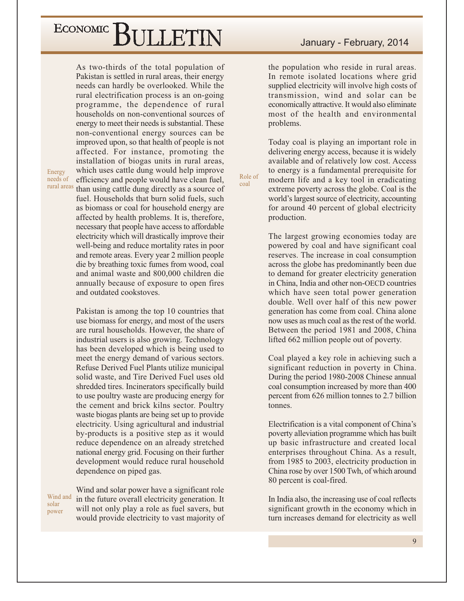As two-thirds of the total population of Pakistan is settled in rural areas, their energy needs can hardly be overlooked. While the rural electrification process is an on-going programme, the dependence of rural households on non-conventional sources of energy to meet their needs is substantial. These non-conventional energy sources can be improved upon, so that health of people is not affected. For instance, promoting the installation of biogas units in rural areas, which uses cattle dung would help improve efficiency and people would have clean fuel, than using cattle dung directly as a source of fuel. Households that burn solid fuels, such as biomass or coal for household energy are affected by health problems. It is, therefore, necessary that people have access to affordable electricity which will drastically improve their well-being and reduce mortality rates in poor and remote areas. Every year 2 million people die by breathing toxic fumes from wood, coal and animal waste and 800,000 children die annually because of exposure to open fires and outdated cookstoves.

Pakistan is among the top 10 countries that use biomass for energy, and most of the users are rural households. However, the share of industrial users is also growing. Technology has been developed which is being used to meet the energy demand of various sectors. Refuse Derived Fuel Plants utilize municipal solid waste, and Tire Derived Fuel uses old shredded tires. Incinerators specifically build to use poultry waste are producing energy for the cement and brick kilns sector. Poultry waste biogas plants are being set up to provide electricity. Using agricultural and industrial by-products is a positive step as it would reduce dependence on an already stretched national energy grid. Focusing on their further development would reduce rural household dependence on piped gas.

Wind and solar power

Energy

needs of

rural areas

Wind and solar power have a significant role in the future overall electricity generation. It will not only play a role as fuel savers, but would provide electricity to vast majority of

the population who reside in rural areas. In remote isolated locations where grid supplied electricity will involve high costs of transmission, wind and solar can be economically attractive. It would also eliminate most of the health and environmental problems.

Today coal is playing an important role in delivering energy access, because it is widely available and of relatively low cost. Access to energy is a fundamental prerequisite for modern life and a key tool in eradicating extreme poverty across the globe. Coal is the world's largest source of electricity, accounting for around 40 percent of global electricity production.

Role of

coal

The largest growing economies today are powered by coal and have significant coal reserves. The increase in coal consumption across the globe has predominantly been due to demand for greater electricity generation in China, India and other non-OECD countries which have seen total power generation double. Well over half of this new power generation has come from coal. China alone now uses as much coal as the rest of the world. Between the period 1981 and 2008, China lifted 662 million people out of poverty.

Coal played a key role in achieving such a significant reduction in poverty in China. During the period 1980-2008 Chinese annual coal consumption increased by more than 400 percent from 626 million tonnes to 2.7 billion tonnes.

Electrification is a vital component of China's poverty alleviation programme which has built up basic infrastructure and created local enterprises throughout China. As a result, from 1985 to 2003, electricity production in China rose by over 1500 Twh, of which around 80 percent is coal-fired.

In India also, the increasing use of coal reflects significant growth in the economy which in turn increases demand for electricity as well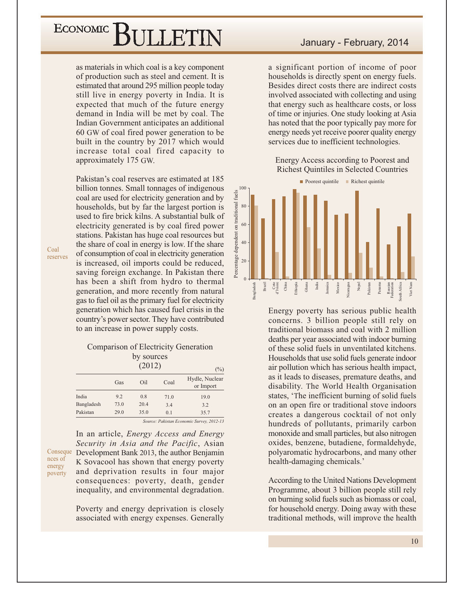as materials in which coal is a key component of production such as steel and cement. It is estimated that around 295 million people today still live in energy poverty in India. It is expected that much of the future energy demand in India will be met by coal. The Indian Government anticipates an additional 60 GW of coal fired power generation to be built in the country by 2017 which would increase total coal fired capacity to approximately 175 GW.

Pakistan's coal reserves are estimated at 185 billion tonnes. Small tonnages of indigenous coal are used for electricity generation and by households, but by far the largest portion is used to fire brick kilns. A substantial bulk of electricity generated is by coal fired power stations. Pakistan has huge coal resources but the share of coal in energy is low. If the share of consumption of coal in electricity generation is increased, oil imports could be reduced, saving foreign exchange. In Pakistan there has been a shift from hydro to thermal generation, and more recently from natural gas to fuel oil as the primary fuel for electricity generation which has caused fuel crisis in the country's power sector. They have contributed to an increase in power supply costs.

#### Comparison of Electricity Generation by sources

|            |      | (2012) |                                            | $(\%)$                        |
|------------|------|--------|--------------------------------------------|-------------------------------|
|            | Gas  | Oil    | Coal                                       | Hydle, Nuclear<br>or Import   |
| India      | 9.2  | 0.8    | 71.0                                       | 19.0                          |
| Bangladesh | 73.0 | 20.4   | 3.4                                        | 3.2                           |
| Pakistan   | 29.0 | 35.0   | 0.1                                        | 35.7                          |
|            |      | $\sim$ | $\mathbf{r}$ , $\mathbf{r}$ , $\mathbf{r}$ | $A \cap T A$<br>$\sim$ $\sim$ |

Source: Pakistan Economic Survey. 2012-13

In an article, *Energy Access and Energy* Security in Asia and the Pacific, Asian Conseque Development Bank 2013, the author Benjamin K Sovacool has shown that energy poverty and deprivation results in four major consequences: poverty, death, gender inequality, and environmental degradation.

> Poverty and energy deprivation is closely associated with energy expenses. Generally

#### January - February, 2014

a significant portion of income of poor households is directly spent on energy fuels. Besides direct costs there are indirect costs involved associated with collecting and using that energy such as healthcare costs, or loss of time or injuries. One study looking at Asia has noted that the poor typically pay more for energy needs yet receive poorer quality energy services due to inefficient technologies.

Energy Access according to Poorest and **Richest Quintiles in Selected Countries** 



Energy poverty has serious public health concerns. 3 billion people still rely on traditional biomass and coal with 2 million deaths per year associated with indoor burning of these solid fuels in unventilated kitchens. Households that use solid fuels generate indoor air pollution which has serious health impact, as it leads to diseases, premature deaths, and disability. The World Health Organisation states, 'The inefficient burning of solid fuels on an open fire or traditional stove indoors creates a dangerous cocktail of not only hundreds of pollutants, primarily carbon monoxide and small particles, but also nitrogen oxides, benzene, butadiene, formaldehyde, polyaromatic hydrocarbons, and many other health-damaging chemicals.'

According to the United Nations Development Programme, about 3 billion people still rely on burning solid fuels such as biomass or coal, for household energy. Doing away with these traditional methods, will improve the health

Coal reserves

nces of

energy

poverty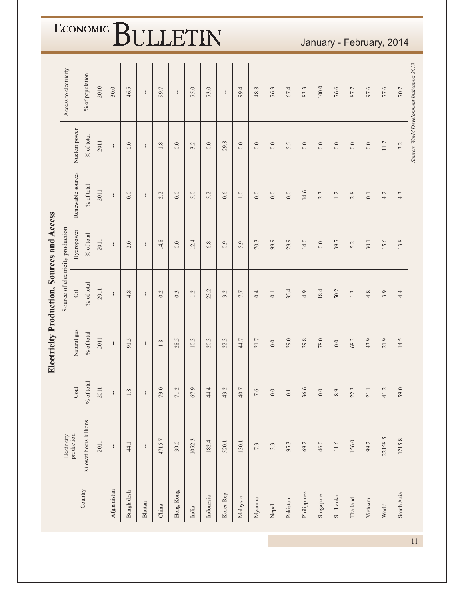|             |                           |                                    | Electricity Production, Sources and Access |                         | Source of electricity production |                   |               | Access to electricity                     |
|-------------|---------------------------|------------------------------------|--------------------------------------------|-------------------------|----------------------------------|-------------------|---------------|-------------------------------------------|
|             | Electricity<br>production | Coal                               | Natural gas                                | $\overline{\text{Oil}}$ | Hydropower                       | Renewable sources | Nuclear power |                                           |
| Country     | Kilowat hours billions    | $\%$ of total                      | $\%$ of total                              | $\%$ of total           | $\%$ of total                    | $\%$ of total     | $\%$ of total | % of population                           |
|             | 2011                      | 2011                               | 2011                                       | 2011                    | 2011                             | 2011              | 2011          | 2010                                      |
| Afghanistan | ÷                         | $\pm$                              | ÷                                          | ÷                       | $\mathbf{1}$                     | ÷                 | $\mathbf{I}$  | 30.0                                      |
| Bangladesh  | 44.1                      | $1.8\,$                            | 91.5                                       | $4.8\,$                 | $2.0$                            | $0.0\,$           | $0.0\,$       | 46.5                                      |
| Bhutan      | ÷                         | $\pm$                              | Ŧ                                          | $\mathbf{I}$            | $\mathbf{I}$                     | $\mathbf{I}$      | $\mathbf{I}$  | ÷                                         |
| China       | 4715.7                    | 79.0                               | $1.8\,$                                    | 0.2                     | $14.8$                           | 2.2               | $1.8\,$       | 99.7                                      |
| Hong Kong   | 39.0                      | $\mathcal{L}$<br>$\overline{r}$    | 28.5                                       | 0.3                     | $0.0\,$                          | $0.0\,$           | $0.0\,$       | ÷                                         |
| India       | 1052.3                    | 67.9                               | $10.3$                                     | 1.2                     | 12.4                             | 5.0               | 3.2           | 75.0                                      |
| Indonesia   | 182.4                     | 44.4                               | 20.3                                       | 23.2                    | 6.8                              | 5.2               | 0.0           | 73.0                                      |
| Korea Rep   | 520.1                     | 43.2                               | 22.3                                       | 3.2                     | 0.9                              | 0.6               | 29.8          | $\mathbf{I}$                              |
| Malaysia    | 130.1                     | 40.7                               | 44.7                                       | $7.7\,$                 | 5.9                              | $1.0\,$           | $0.0\,$       | 99.4                                      |
| Myannar     | 7.3                       | 7.6                                | 21.7                                       | $0.4\,$                 | $70.3$                           | 0.0               | 0.0           | 48.8                                      |
| Nepal       | 3.3                       | $0.0\,$                            | $0.0\,$                                    | $\overline{0}$ .        | 99.9                             | 0.0               | 0.0           | 76.3                                      |
| Pakistan    | 95.3                      | $\overline{\phantom{0}}$ .         | $29.0\,$                                   | 35.4                    | 29.9                             | $0.0\,$           | 5.5           | 67.4                                      |
| Philippines | 69.2                      | 36.6                               | 29.8                                       | 4.9                     | $14.0$                           | 14.6              | $0.0\,$       | 83.3                                      |
| Singapore   | 46.0                      | $0.0\,$                            | $78.0\,$                                   | 18.4                    | $0.0\,$                          | 2.3               | 0.0           | $100.0$                                   |
| Sri Lanka   | 11.6                      | 8.9                                | $0.0\,$                                    | 50.2                    | 39.7                             | $1.2\,$           | $0.0\,$       | 76.6                                      |
| Thailand    | 156.0                     | 22.3                               | 68.3                                       | $1.3\,$                 | 5.2                              | 2.8               | $0.0\,$       | 87.7                                      |
| Vietnam     | 99.2                      | $\Box$<br>$\overline{\mathcal{C}}$ | 43.9                                       | 4.8                     | 30.1                             | $\overline{0.1}$  | $0.0\,$       | 97.6                                      |
| World       | 22158.5                   | $\dot{a}$<br>4                     | 21.9                                       | 3.9                     | 15.6                             | 4.2               | $11.7$        | 77.6                                      |
| South Asia  | 1215.8                    | 59.0                               | 14.5                                       | 4.4                     | 13.8                             | 4.3               | 3.2           | $70.7\,$                                  |
|             |                           |                                    |                                            |                         |                                  |                   |               | Source: World Development Indicators 2013 |

January - February, 2014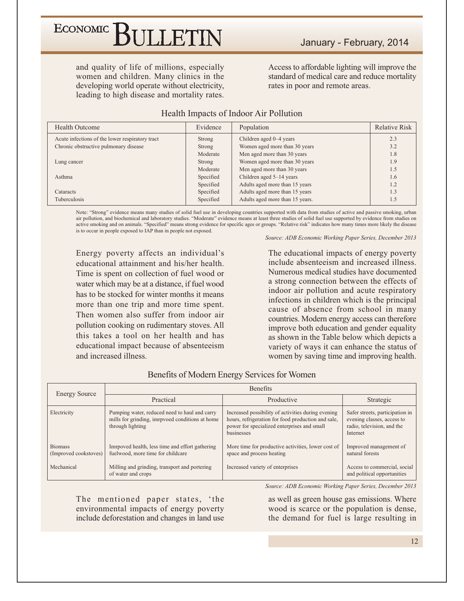### ECONOMIC<sup></sup> BULLETIN

and quality of life of millions, especially women and children. Many clinics in the developing world operate without electricity, leading to high disease and mortality rates.

Access to affordable lighting will improve the standard of medical care and reduce mortality rates in poor and remote areas.

| <b>Health Outcome</b>                           | Evidence  | Population                      | <b>Relative Risk</b> |
|-------------------------------------------------|-----------|---------------------------------|----------------------|
| Acute infections of the lower respiratory tract | Strong    | Children aged 0–4 years         | 2.3                  |
| Chronic obstructive pulmonary disease           | Strong    | Women aged more than 30 years   | 3.2                  |
|                                                 | Moderate  | Men aged more than 30 years     | 1.8                  |
| Lung cancer                                     | Strong    | Women aged more than 30 years   | 1.9                  |
|                                                 | Moderate  | Men aged more than 30 years     | 1.5                  |
| Asthma                                          | Specified | Children aged $5-14$ years      | 1.6                  |
|                                                 | Specified | Adults aged more than 15 years  | 1.2                  |
| Cataracts                                       | Specified | Adults aged more than 15 years  | 1.3                  |
| Tuberculosis                                    | Specified | Adults aged more than 15 years. | 1.5                  |

#### Health Impacts of Indoor Air Pollution

Note: "Strong" evidence means many studies of solid fuel use in developing countries supported with data from studies of active and passive smoking, urban air pollution, and biochemical and laboratory studies. "Moderate" evidence means at least three studies of solid fuel use supported by evidence from studies on active smoking and on animals. "Specified" means strong evidence for specific ages or groups. "Relative risk" indicates how many times more likely the disease is to occur in people exposed to IAP than in people not exposed.

Source: ADB Economic Working Paper Series, December 2013

Energy poverty affects an individual's educational attainment and his/her health. Time is spent on collection of fuel wood or water which may be at a distance, if fuel wood has to be stocked for winter months it means more than one trip and more time spent. Then women also suffer from indoor air pollution cooking on rudimentary stoves. All this takes a tool on her health and has educational impact because of absenteeism and increased illness.

The educational impacts of energy poverty include absenteeism and increased illness. Numerous medical studies have documented a strong connection between the effects of indoor air pollution and acute respiratory infections in children which is the principal cause of absence from school in many countries. Modern energy access can therefore improve both education and gender equality as shown in the Table below which depicts a variety of ways it can enhance the status of women by saving time and improving health.

| <b>Energy Source</b>                    |                                                                                                                      | Benefits                                                                                                                                                              |                                                                                                         |
|-----------------------------------------|----------------------------------------------------------------------------------------------------------------------|-----------------------------------------------------------------------------------------------------------------------------------------------------------------------|---------------------------------------------------------------------------------------------------------|
|                                         | Practical                                                                                                            | Productive                                                                                                                                                            | Strategic                                                                                               |
| Electricity                             | Pumping water, reduced need to haul and carry<br>mills for grinding, imrpvoed conditions at home<br>through lighting | Increased possibility of activities during evening<br>hours, refrigeration for food production and sale,<br>power for specialized enterprises and small<br>businesses | Safer streets, participation in<br>evening classes, access to<br>radio, television, and the<br>Internet |
| <b>Biomass</b><br>(Improved cookstoves) | Imrpoved health, less time and effort gathering<br>fuelwood, more time for childcare                                 | More time for productive activities, lower cost of<br>space and process heating                                                                                       | Improved management of<br>natural forests                                                               |
| Mechanical                              | Milling and grinding, transport and portering<br>of water and crops                                                  | Increased variety of enterprises                                                                                                                                      | Access to commercial, social<br>and political opportunities                                             |

#### Benefits of Modern Energy Services for Women

Source: ADB Economic Working Paper Series, December 2013

The mentioned paper states, 'the environmental impacts of energy poverty include deforestation and changes in land use

as well as green house gas emissions. Where wood is scarce or the population is dense, the demand for fuel is large resulting in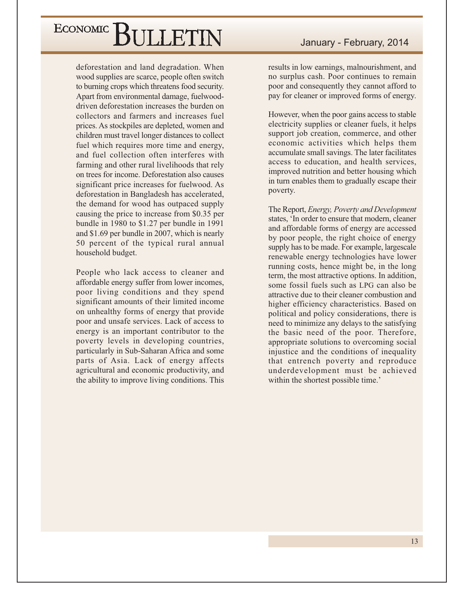deforestation and land degradation. When wood supplies are scarce, people often switch to burning crops which threatens food security. Apart from environmental damage, fuelwooddriven deforestation increases the burden on collectors and farmers and increases fuel prices. As stockpiles are depleted, women and children must travel longer distances to collect fuel which requires more time and energy, and fuel collection often interferes with farming and other rural livelihoods that rely on trees for income. Deforestation also causes significant price increases for fuelwood. As deforestation in Bangladesh has accelerated, the demand for wood has outpaced supply causing the price to increase from \$0.35 per bundle in  $1980$  to \$1.27 per bundle in 1991 and \$1.69 per bundle in 2007, which is nearly 50 percent of the typical rural annual household budget.

People who lack access to cleaner and affordable energy suffer from lower incomes, poor living conditions and they spend significant amounts of their limited income on unhealthy forms of energy that provide poor and unsafe services. Lack of access to energy is an important contributor to the poverty levels in developing countries, particularly in Sub-Saharan Africa and some parts of Asia. Lack of energy affects agricultural and economic productivity, and the ability to improve living conditions. This

results in low earnings, malnourishment, and no surplus cash. Poor continues to remain poor and consequently they cannot afford to pay for cleaner or improved forms of energy.

However, when the poor gains access to stable electricity supplies or cleaner fuels, it helps support job creation, commerce, and other economic activities which helps them accumulate small savings. The later facilitates access to education, and health services, improved nutrition and better housing which in turn enables them to gradually escape their poverty.

The Report, *Energy*, *Poverty and Development* states, 'In order to ensure that modern, cleaner and affordable forms of energy are accessed by poor people, the right choice of energy supply has to be made. For example, largescale renewable energy technologies have lower running costs, hence might be, in the long term, the most attractive options. In addition, some fossil fuels such as LPG can also be attractive due to their cleaner combustion and higher efficiency characteristics. Based on political and policy considerations, there is need to minimize any delays to the satisfying the basic need of the poor. Therefore, appropriate solutions to overcoming social injustice and the conditions of inequality that entrench poverty and reproduce underdevelopment must be achieved within the shortest possible time.'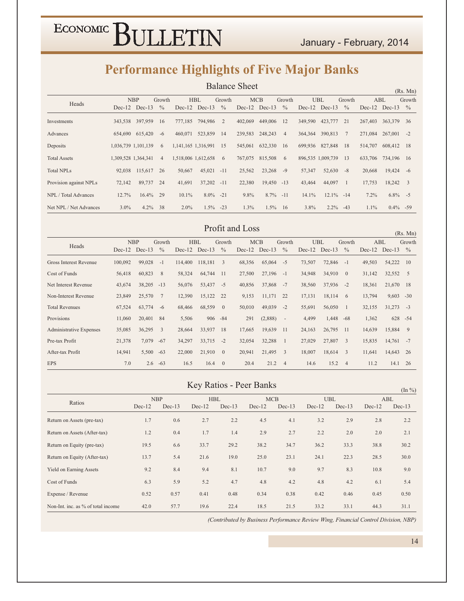### **Performance Highlights of Five Major Banks**

|                             |                     |                   |                |         |                     |               | <b>Balance Sheet</b> |                   |                |          |                   |               |         |                   | (Rs. Mn)      |
|-----------------------------|---------------------|-------------------|----------------|---------|---------------------|---------------|----------------------|-------------------|----------------|----------|-------------------|---------------|---------|-------------------|---------------|
|                             |                     | <b>NBP</b>        | Growth         |         | <b>HBL</b>          | Growth        |                      | <b>MCB</b>        | Growth         |          | <b>UBL</b>        | Growth        |         | ABL               | Growth        |
| Heads                       |                     | $Dec-12$ $Dec-13$ | $\frac{0}{0}$  |         | $Dec-12$ $Dec-13$   | $\frac{0}{0}$ |                      | $Dec-12$ $Dec-13$ | $\frac{0}{0}$  |          | $Dec-12$ $Dec-13$ | $\frac{0}{0}$ |         | $Dec-12$ $Dec-13$ | $\frac{0}{0}$ |
| Investments                 |                     | 343,538 397,959   | 16             | 777,185 | 794,986             | 2             | 402,069              | 449,006           | 12             | 349,590  | 423,777           | 21            | 267,403 | 363,379 36        |               |
| Advances                    |                     | 654,690 615,420   | $-6$           | 460,071 | 523,859             | 14            | 239.583              | 248,243           | $\overline{4}$ |          | 364, 364 390, 813 | 7             | 271,084 | $267,001 -2$      |               |
| Deposits                    | 1,036,739 1,101,139 |                   | 6              |         | 1,141,165 1,316,991 | 15            | 545,061              | 632,330           | 16             | 699,936  | 827,848           | 18            | 514,707 | 608,412 18        |               |
| <b>Total Assets</b>         | 1,309,528 1,364,341 |                   | $\overline{4}$ |         | 1,518,006 1,612,658 | 6             | 767,075              | 815,508           | 6              |          | 896,535 1,009,739 | 13            | 633,706 | 734,196 16        |               |
| <b>Total NPLs</b>           | 92,038              | 115,617           | 26             | 50,667  | 45,021              | $-11$         | 25,562               | 23,268            | $-9$           | 57,347   | 52,630            | $-8$          | 20,668  | $19,424 -6$       |               |
| Provision against NPLs      | 72,142              | 89,737            | - 24           | 41,691  | 37,202              | $-11$         | 22,380               | 19,450 -13        |                | 43,464   | 44,097            | -1            | 17,753  | 18,242 3          |               |
| <b>NPL</b> / Total Advances | 12.7%               | $16.4\%$ 29       |                | 10.1%   | $8.0\% -21$         |               | 9.8%                 | $8.7\% -11$       |                | $14.1\%$ | $12.1\% -14$      |               | 7.2%    | $6.8\% -5$        |               |
| Net NPL / Net Advances      | $3.0\%$             | 4.2%              | 38             | $2.0\%$ |                     | $1.5\% -23$   | 1.3%                 | $1.5\%$ 16        |                | $3.8\%$  | $2.2\% -43$       |               | $1.1\%$ | $0.4\% - 59$      |               |

#### Profit and Loss

 $(Rs. Mn)$ **NBP** Growth **HBL** Growth  $MCB$ Growth **UBL** Growth  $ABL$ Growth Heads Dec-12 Dec-13 % Dec-12 Dec-13 % Dec-12 Dec-13 % Dec-12 Dec-13 % Dec-12 Dec-13 % Gross Interest Revenue 100,092  $99,028 -1$ 114,400 118,181 3 68,356  $65,064 -5$ 73,507 72,846 -1 49,503 54,222 10 32,552 5 64,744 11 Cost of Funds 56,418 60,823 8 58.324 27,500 27,196 -1 34,948 34,910 0 31,142 Net Interest Revenue 38,205 -13 56,076 53,437 -5 37,868 -7 37,936 -2 21,670 18 43,674 40,856 38,560 18,361 Non-Interest Revenue 23,849 25,570 7 12,390 15,122 22 9,153 11,171 22 17,131  $18,114$  6 13,794  $9,603 -30$ **Total Revenues** 67,524  $63,774$  -6 68,466 68,559 0 50,010 49,039 -2 55,691 56,050 1 32,155  $31,273 -3$ Provisions 11,060 20,401 84 5,506 906 - 84 291  $(2,888)$  $\sim$   $\pm$ 4,499 1,448 -68 1,362 628 - 54 26,795 11 Administrative Expenses 35.085  $36.295 \quad 3$ 28.664 33,937 18 17.665 19,639 11 24,163 14.639 15,884 9 Pre-tax Profit 21,378 7,079 -67 34,297  $33,715 -2$ 32,054 32,288 1 27,029 27,807 3 15,835  $14,761 -7$ After-tax Profit 14,941 5,500 -63 22,000 21,910 0 20,941 21,495 3 18,007 18,614 3 11,641 14,643 26 **EPS** 7.0  $2.6 -63$  $16.5$  $16.4 \t 0$ 20.4  $21.2$  4 14.6  $15.2 \t 4$  $11.2$  $14.1$  26

#### **Key Ratios - Peer Banks**

|                                    |          |            |          |            |          |            |          |            |          | $(\ln \frac{\nu_0}{\nu})$ |
|------------------------------------|----------|------------|----------|------------|----------|------------|----------|------------|----------|---------------------------|
|                                    |          | <b>NBP</b> |          | <b>HBL</b> |          | <b>MCB</b> |          | <b>UBL</b> |          | ABL                       |
| Ratios                             | $Dec-12$ | $Dec-13$   | $Dec-12$ | $Dec-13$   | $Dec-12$ | $Dec-13$   | $Dec-12$ | $Dec-13$   | $Dec-12$ | $Dec-13$                  |
| Return on Assets (pre-tax)         | 1.7      | 0.6        | 2.7      | 2.2        | 4.5      | 4.1        | 3.2      | 2.9        | 2.8      | 2.2                       |
| Return on Assets (After-tax)       | 1.2      | 0.4        | 1.7      | 1.4        | 2.9      | 2.7        | 2.2      | 2.0        | 2.0      | 2.1                       |
| Return on Equity (pre-tax)         | 19.5     | 6.6        | 33.7     | 29.2       | 38.2     | 34.7       | 36.2     | 33.3       | 38.8     | 30.2                      |
| Return on Equity (After-tax)       | 13.7     | 5.4        | 21.6     | 19.0       | 25.0     | 23.1       | 24.1     | 22.3       | 28.5     | 30.0                      |
| <b>Yield on Earning Assets</b>     | 9.2      | 8.4        | 9.4      | 8.1        | 10.7     | 9.0        | 9.7      | 8.3        | 10.8     | 9.0                       |
| Cost of Funds                      | 6.3      | 5.9        | 5.2      | 4.7        | 4.8      | 4.2        | 4.8      | 4.2        | 6.1      | 5.4                       |
| Expense / Revenue                  | 0.52     | 0.57       | 0.41     | 0.48       | 0.34     | 0.38       | 0.42     | 0.46       | 0.45     | 0.50                      |
| Non-Int. inc. as % of total income | 42.0     | 57.7       | 19.6     | 22.4       | 18.5     | 21.5       | 33.2     | 33.1       | 44.3     | 31.1                      |

(Contributed by Business Performance Review Wing, Financial Control Division, NBP)

 $14$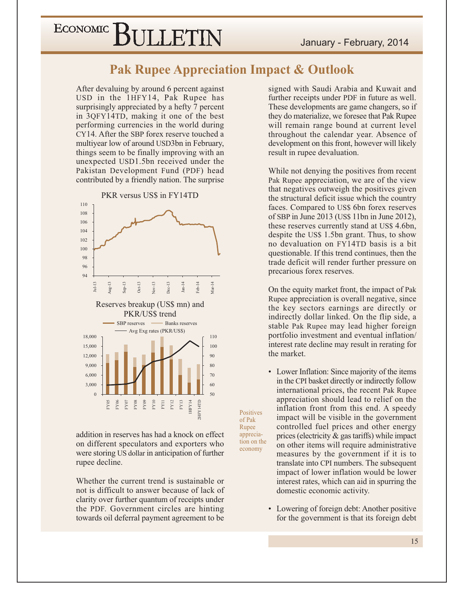#### **Pak Rupee Appreciation Impact & Outlook**

Positives

of Pak

Rupee

apprecia-

economy

tion on the

After devaluing by around 6 percent against USD in the 1HFY14, Pak Rupee has surprisingly appreciated by a hefty 7 percent in 3QFY14TD, making it one of the best performing currencies in the world during CY14. After the SBP forex reserve touched a multiyear low of around USD3bn in February, things seem to be finally improving with an unexpected USD1.5bn received under the Pakistan Development Fund (PDF) head contributed by a friendly nation. The surprise



addition in reserves has had a knock on effect on different speculators and exporters who were storing US dollar in anticipation of further rupee decline.

Whether the current trend is sustainable or not is difficult to answer because of lack of clarity over further quantum of receipts under the PDF. Government circles are hinting towards oil deferral payment agreement to be signed with Saudi Arabia and Kuwait and further receipts under PDF in future as well. These developments are game changers, so if they do materialize, we foresee that Pak Rupee will remain range bound at current level throughout the calendar year. Absence of development on this front, however will likely result in rupee devaluation.

While not denying the positives from recent Pak Rupee appreciation, we are of the view that negatives outweigh the positives given the structural deficit issue which the country faces. Compared to US\$ 6bn forex reserves of SBP in June 2013 (US\$ 11bn in June 2012), these reserves currently stand at US\$ 4.6bn, despite the US\$ 1.5bn grant. Thus, to show no devaluation on FY14TD basis is a bit questionable. If this trend continues, then the trade deficit will render further pressure on precarious forex reserves.

On the equity market front, the impact of Pak Rupee appreciation is overall negative, since the key sectors earnings are directly or indirectly dollar linked. On the flip side, a stable Pak Rupee may lead higher foreign portfolio investment and eventual inflation/ interest rate decline may result in rerating for the market.

• Lower Inflation: Since majority of the items in the CPI basket directly or indirectly follow international prices, the recent Pak Rupee appreciation should lead to relief on the inflation front from this end. A speedy impact will be visible in the government controlled fuel prices and other energy prices (electricity  $\&$  gas tariffs) while impact on other items will require administrative measures by the government if it is to translate into CPI numbers. The subsequent impact of lower inflation would be lower interest rates, which can aid in spurring the domestic economic activity.

 $\bullet$ Lowering of foreign debt: Another positive for the government is that its foreign debt

15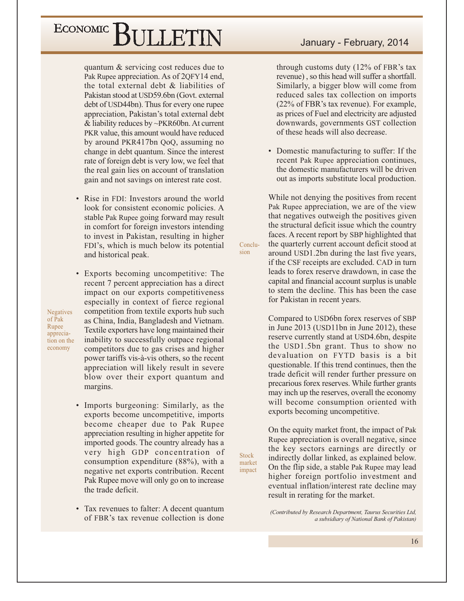quantum & servicing cost reduces due to Pak Rupee appreciation. As of 2QFY14 end, the total external debt  $\&$  liabilities of Pakistan stood at USD59.6bn (Govt. external debt of USD44bn). Thus for every one rupee appreciation, Pakistan's total external debt & liability reduces by  $\sim$ PKR60bn. At current PKR value, this amount would have reduced by around PKR417bn QoQ, assuming no change in debt quantum. Since the interest rate of foreign debt is very low, we feel that the real gain lies on account of translation gain and not savings on interest rate cost.

• Rise in FDI: Investors around the world look for consistent economic policies. A stable Pak Rupee going forward may result in comfort for foreign investors intending to invest in Pakistan, resulting in higher FDI's, which is much below its potential and historical peak.

• Exports becoming uncompetitive: The recent 7 percent appreciation has a direct impact on our exports competitiveness especially in context of fierce regional competition from textile exports hub such as China, India, Bangladesh and Vietnam. Textile exporters have long maintained their inability to successfully outpace regional competitors due to gas crises and higher power tariffs vis-à-vis others, so the recent appreciation will likely result in severe blow over their export quantum and margins.

- Imports burgeoning: Similarly, as the exports become uncompetitive, imports become cheaper due to Pak Rupee appreciation resulting in higher appetite for imported goods. The country already has a very high GDP concentration of consumption expenditure  $(88\%)$ , with a negative net exports contribution. Recent Pak Rupee move will only go on to increase the trade deficit.
- Tax revenues to falter: A decent quantum of FBR's tax revenue collection is done

#### January - February, 2014

through customs duty (12% of FBR's tax revenue), so this head will suffer a shortfall. Similarly, a bigger blow will come from reduced sales tax collection on imports (22% of FBR's tax revenue). For example, as prices of Fuel and electricity are adjusted downwards, governments GST collection of these heads will also decrease.

• Domestic manufacturing to suffer: If the recent Pak Rupee appreciation continues, the domestic manufacturers will be driven out as imports substitute local production.

While not denying the positives from recent Pak Rupee appreciation, we are of the view that negatives outweigh the positives given the structural deficit issue which the country faces. A recent report by SBP highlighted that the quarterly current account deficit stood at around USD1.2bn during the last five years, if the CSF receipts are excluded. CAD in turn leads to forex reserve drawdown, in case the capital and financial account surplus is unable to stem the decline. This has been the case for Pakistan in recent years.

Conclusion

**Stock** 

market

impact

Compared to USD6bn forex reserves of SBP in June 2013 (USD11bn in June 2012), these reserve currently stand at USD4.6bn, despite the USD1.5bn grant. Thus to show no devaluation on FYTD basis is a bit questionable. If this trend continues, then the trade deficit will render further pressure on precarious forex reserves. While further grants may inch up the reserves, overall the economy will become consumption oriented with exports becoming uncompetitive.

On the equity market front, the impact of Pak Rupee appreciation is overall negative, since the key sectors earnings are directly or indirectly dollar linked, as explained below. On the flip side, a stable Pak Rupee may lead higher foreign portfolio investment and eventual inflation/interest rate decline may result in rerating for the market.

(Contributed by Research Department, Taurus Securities Ltd, a subsidiary of National Bank of Pakistan)

 $of  $\overline{P}ak$$ Rupee appreciation on the economy

**Negatives**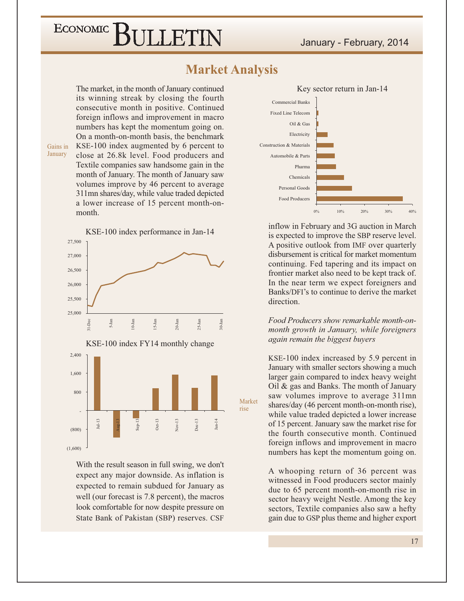BULLETIN

Market

rise

#### January - February, 2014

#### **Market Analysis**

The market, in the month of January continued its winning streak by closing the fourth consecutive month in positive. Continued foreign inflows and improvement in macro numbers has kept the momentum going on. On a month-on-month basis, the benchmark KSE-100 index augmented by 6 percent to close at 26.8k level. Food producers and Textile companies saw handsome gain in the month of January. The month of January saw volumes improve by 46 percent to average 311mn shares/day, while value traded depicted a lower increase of 15 percent month-onmonth.

Gains in January

ECONOMIC<sup>]</sup>

KSE-100 index performance in Jan-14 27.500 27,000 26,500 26,000 25,500 25,000  $20 - Jan$  $25-Ian$  $0-1an$ 5-Jan  $1 - Dec$  $0 - \tan$ KSE-100 index FY14 monthly change 2,400 1,600  $800$  $Oct-13$  $Nov-13$  $nL13$  $Dec-13$  $Jan-14$  $(800)$  $(1,600)$ 

With the result season in full swing, we don't expect any major downside. As inflation is expected to remain subdued for January as well (our forecast is 7.8 percent), the macros look comfortable for now despite pressure on State Bank of Pakistan (SBP) reserves. CSF



inflow in February and 3G auction in March is expected to improve the SBP reserve level. A positive outlook from IMF over quarterly disbursement is critical for market momentum continuing. Fed tapering and its impact on frontier market also need to be kept track of. In the near term we expect foreigners and Banks/DFI's to continue to derive the market direction

Food Producers show remarkable month-onmonth growth in January, while foreigners again remain the biggest buyers

KSE-100 index increased by 5.9 percent in January with smaller sectors showing a much larger gain compared to index heavy weight Oil & gas and Banks. The month of January saw volumes improve to average 311mn shares/day (46 percent month-on-month rise), while value traded depicted a lower increase of 15 percent. January saw the market rise for the fourth consecutive month. Continued foreign inflows and improvement in macro numbers has kept the momentum going on.

A whooping return of 36 percent was witnessed in Food producers sector mainly due to 65 percent month-on-month rise in sector heavy weight Nestle. Among the key sectors, Textile companies also saw a hefty gain due to GSP plus theme and higher export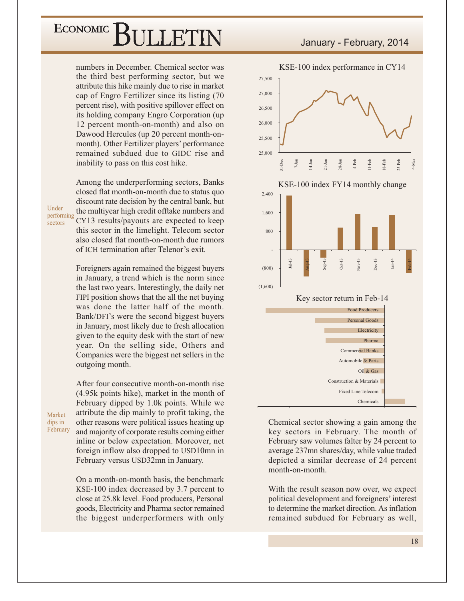numbers in December. Chemical sector was the third best performing sector, but we attribute this hike mainly due to rise in market cap of Engro Fertilizer since its listing (70) percent rise), with positive spillover effect on its holding company Engro Corporation (up) 12 percent month-on-month) and also on Dawood Hercules (up 20 percent month-onmonth). Other Fertilizer players' performance remained subdued due to GIDC rise and inability to pass on this cost hike.

Among the underperforming sectors, Banks closed flat month-on-month due to status quo discount rate decision by the central bank, but the multiyear high credit offtake numbers and CY13 results/payouts are expected to keep this sector in the limelight. Telecom sector also closed flat month-on-month due rumors of ICH termination after Telenor's exit.

Foreigners again remained the biggest buyers in January, a trend which is the norm since the last two years. Interestingly, the daily net FIPI position shows that the all the net buying was done the latter half of the month. Bank/DFI's were the second biggest buyers in January, most likely due to fresh allocation given to the equity desk with the start of new year. On the selling side, Others and Companies were the biggest net sellers in the outgoing month.

After four consecutive month-on-month rise (4.95k points hike), market in the month of February dipped by 1.0k points. While we attribute the dip mainly to profit taking, the other reasons were political issues heating up and majority of corporate results coming either inline or below expectation. Moreover, net foreign inflow also dropped to USD10mn in February versus USD32mn in January.

On a month-on-month basis, the benchmark KSE-100 index decreased by 3.7 percent to close at 25.8k level. Food producers, Personal goods, Electricity and Pharma sector remained the biggest underperformers with only



Chemical sector showing a gain among the key sectors in February. The month of February saw volumes falter by 24 percent to average 237mn shares/day, while value traded depicted a similar decrease of 24 percent month-on-month.

With the result season now over, we expect political development and foreigners' interest to determine the market direction. As inflation remained subdued for February as well,

Under performing sectors

Market

dips in February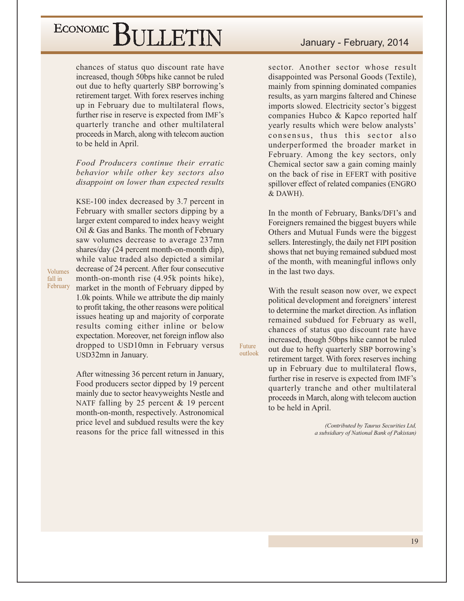chances of status quo discount rate have increased, though 50bps hike cannot be ruled out due to hefty quarterly SBP borrowing's retirement target. With forex reserves inching up in February due to multilateral flows, further rise in reserve is expected from IMF's quarterly tranche and other multilateral proceeds in March, along with telecom auction to be held in April.

Food Producers continue their erratic behavior while other key sectors also disappoint on lower than expected results

KSE-100 index decreased by 3.7 percent in February with smaller sectors dipping by a larger extent compared to index heavy weight Oil & Gas and Banks. The month of February saw volumes decrease to average 237mn shares/day (24 percent month-on-month dip), while value traded also depicted a similar decrease of 24 percent. After four consecutive month-on-month rise (4.95k points hike), market in the month of February dipped by 1.0k points. While we attribute the dip mainly to profit taking, the other reasons were political issues heating up and majority of corporate results coming either inline or below expectation. Moreover, net foreign inflow also dropped to USD10mn in February versus USD32mn in January.

Volumes

fall in February

> After witnessing 36 percent return in January, Food producers sector dipped by 19 percent mainly due to sector heavyweights Nestle and NATF falling by 25 percent  $\&$  19 percent month-on-month, respectively. Astronomical price level and subdued results were the key reasons for the price fall witnessed in this

sector. Another sector whose result disappointed was Personal Goods (Textile), mainly from spinning dominated companies results, as yarn margins faltered and Chinese imports slowed. Electricity sector's biggest companies Hubco & Kapco reported half yearly results which were below analysts' consensus, thus this sector also underperformed the broader market in February. Among the key sectors, only Chemical sector saw a gain coming mainly on the back of rise in EFERT with positive spillover effect of related companies (ENGRO & DAWH).

In the month of February, Banks/DFI's and Foreigners remained the biggest buyers while Others and Mutual Funds were the biggest sellers. Interestingly, the daily net FIPI position shows that net buying remained subdued most of the month, with meaningful inflows only in the last two days.

With the result season now over, we expect political development and foreigners' interest to determine the market direction. As inflation remained subdued for February as well, chances of status quo discount rate have increased, though 50bps hike cannot be ruled out due to hefty quarterly SBP borrowing's retirement target. With forex reserves inching up in February due to multilateral flows, further rise in reserve is expected from IMF's quarterly tranche and other multilateral proceeds in March, along with telecom auction to be held in April.

Future

outlook

(Contributed by Taurus Securities Ltd, a subsidiary of National Bank of Pakistan)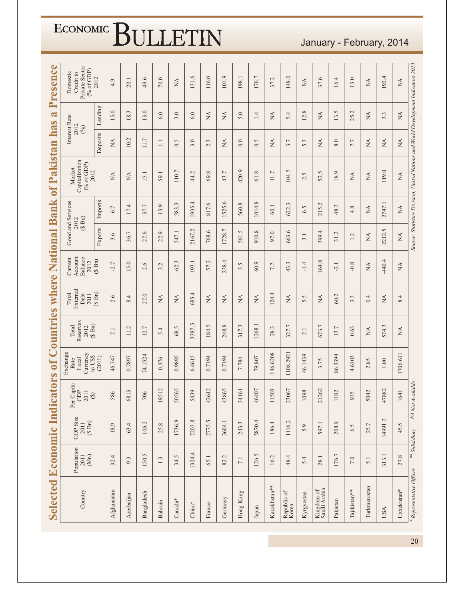|                                                                           | <b>Selected Economic</b> | <b>Indic:</b>                 | ators                                         |                                                 | of Countries                                               | where                             |                                       | National                        | <b>Bank</b>                  | of Pakistan                                                                       |                                | $\mathbf{\overline{a}}$<br>has | Presence                                                                |
|---------------------------------------------------------------------------|--------------------------|-------------------------------|-----------------------------------------------|-------------------------------------------------|------------------------------------------------------------|-----------------------------------|---------------------------------------|---------------------------------|------------------------------|-----------------------------------------------------------------------------------|--------------------------------|--------------------------------|-------------------------------------------------------------------------|
| $\begin{array}{c} \text{Population} \\ 2011 \end{array}$<br>$(\mbox{Mn})$ |                          | GDP Size<br>$2011$<br>(\$ Bn) | Capita<br>GDP<br>2011<br>$\circledast$<br>Per | Exchange<br>Currency<br>to USS<br>Local<br>Rate | Reserves<br>$(\S$ Bn)<br>Total<br>2012                     | External<br>Debt<br>Total<br>2011 | Account<br>Balance<br>Current<br>2012 | Good and Services<br>2012       | $(S \nBn)$                   | Capitalization<br>(% of GDP)<br>Market<br>2012                                    |                                | Interest Rate<br>2012<br>(%)   | Private Sector<br>$(^{9}$ <sub>6</sub> of GDP)<br>Domestic<br>Credit to |
|                                                                           |                          |                               |                                               | (2011)                                          |                                                            | $(S \nBn)$                        | $(\S$ Bn)                             | Exports                         | Imports                      |                                                                                   | Deposits                       | Lending                        | 2012                                                                    |
| 32.4                                                                      |                          | 18.9                          | 586                                           | 46.747                                          | 7.1                                                        | 2.6                               | $-2.7$                                | 3.6                             | 6.7                          | $\mathbb{X}^{\mathsf{A}}$                                                         | $\mathbb{A}$                   | 15.0                           | 4.9                                                                     |
| 9.3                                                                       |                          | 63.4                          | 6813                                          | 0.7897                                          | 11.2                                                       | 8.4                               | 5.0                                   | 36.7                            | 17.4                         | Ź                                                                                 | 10.2                           | 18.3                           | 20.1                                                                    |
| 150.5                                                                     |                          | 106.2                         | 706                                           | 74.1524                                         | 12.7                                                       | 27.0                              | 2.6                                   | 27.6                            | 37.7                         | 15.1                                                                              | 11.7                           | 13.0                           | 49.6                                                                    |
| 1.3                                                                       |                          | 25.8                          | 19512                                         | 0.376                                           | 5.4                                                        | $\stackrel{\triangle}{\approx}$   | 3.2                                   | 22.9                            | 13.9                         | 59.1                                                                              | $\Box$                         | 6.0                            | 70.0                                                                    |
| 34.5                                                                      |                          | 1736.9                        | 50565                                         | 0.9895                                          | 68.5                                                       | $\stackrel{\Delta}{\approx}$      | Ċ.<br>$-62$ .                         | 547.1                           | 583.3                        | 110.7                                                                             | 0.5                            | 3.0                            | $\stackrel{\Delta}{\geq}$                                               |
| 1324.4                                                                    |                          | 7203.8                        | 5439                                          | 6.4615                                          | 3387.5                                                     | 685.4                             | 193.1                                 | 2167.2                          | 1935.4                       | 44.2                                                                              | 3.0                            | 6.0                            | 131.6                                                                   |
| 65.1                                                                      |                          | 2775.5                        | 42642                                         | 0.7194                                          | 184.5                                                      | $\stackrel{\Delta}{\simeq}$       | L,<br>$-57$ .                         | 768.6                           | 817.6                        | 69.8                                                                              | 2.3                            | $\stackrel{\Delta}{\simeq}$    | 116.0                                                                   |
| 82.2                                                                      |                          | 3604.1                        | 43865                                         | 0.7194                                          | 248.8                                                      | $\stackrel{\Delta}{\approx}$      | 238.4                                 | 1728.7                          | 1525.6                       | 43.7                                                                              | $\stackrel{\Delta}{\approx}$   | $\stackrel{\Delta}{\approx}$   | 101.9                                                                   |
| $7.1\,$                                                                   |                          | 243.3                         | 34161                                         | 7.784                                           | 317.3                                                      | $\stackrel{\Delta}{\approx}$      | 3.5                                   | 561.5                           | 560.8                        | 420.9                                                                             | 0.0                            | 5.0                            | 198.1                                                                   |
| 126.5                                                                     |                          | 5870.4                        | 46407                                         | 79.807                                          | 1268.1                                                     | ΧÁ                                | 60.9                                  | 910.8                           | 1014.8                       | $\infty$<br>$\overline{6}$                                                        | 0.5                            | 1.4                            | 176.7                                                                   |
| 16.2                                                                      |                          | 186.4                         | 11503                                         | 146.6208                                        | 28.3                                                       | 124.4                             | 7.7                                   | 97.0                            | 60.1                         | 11.7                                                                              | $\lesssim$                     | $\lesssim$                     | 37.2                                                                    |
| 48.4                                                                      |                          | 1116.2                        | 23067                                         | 1108.292                                        | 327.7                                                      | $\stackrel{\Delta}{\approx}$      | 43.3                                  | 663.6                           | 622.3                        | 104.5                                                                             | 3.7                            | 5.4                            | 148.0                                                                   |
| 5.4                                                                       |                          | 5.9                           | 098                                           | 46.1439                                         | 2.1                                                        | 5.5                               | $-1.4$                                | 3.1                             | 6.5                          | Ν,<br>$\overline{\mathcal{C}}$                                                    | 5.3                            | $\infty$<br>12.                | NA                                                                      |
| 28.1                                                                      |                          | 597.1                         | 21262                                         | 3.75                                            | 673.7                                                      | <b>NA</b>                         | $\infty$<br>164.                      | 399.4                           | 215.2                        | 52.5                                                                              | MA                             | <b>NA</b>                      | 37.6                                                                    |
| 176.7                                                                     |                          | 208.9                         | 1182                                          | 86.3394                                         | 13.7                                                       | 60.2                              | $-2.1$                                | 31.2                            | 48.3                         | 18.9                                                                              | 8.0                            | 13.5                           | 16.4                                                                    |
| $7.0\,$                                                                   |                          | 6.5                           | 935                                           | 4.6103                                          | 0.63                                                       | 3.3                               | $-0.8$                                | L,<br>$\overline{\phantom{a}}$  | 4.8                          | $\lesssim$                                                                        | 7.7                            | 25.2                           | 13.0                                                                    |
| 5.1                                                                       |                          | 25.7                          | 5042                                          | 2.85                                            | $\stackrel{\displaystyle\triangle}{\scriptstyle\triangle}$ | 0.4                               | $\mathbb{R}^2$                        | $\stackrel{\triangle}{\approx}$ | $\stackrel{\Delta}{\approx}$ | Á                                                                                 | $\stackrel{\Delta}{\approx}$   | $\stackrel{\Delta}{\approx}$   | $\stackrel{\triangle}{\scriptstyle\sim}$                                |
| 313.1                                                                     |                          | 14991.3                       | 47882                                         | 1.00                                            | 574.3                                                      | $\stackrel{\Delta}{\approx}$      | $-440.4$                              | 2212.5                          | 2747.1                       | 119.0                                                                             | $\mathbb{\hat{A}}$             | 3.3                            | 192.4                                                                   |
| 27.8                                                                      |                          | 45.5                          | [64]                                          | 1706.611                                        | $\stackrel{\Delta}{\approx}$                               | 8.4                               | $\stackrel{\Delta}{\approx}$          | $\stackrel{\Delta}{\approx}$    | $\stackrel{\Delta}{\approx}$ | $\stackrel{\Delta}{\approx}$                                                      | $\stackrel{\triangle}{\simeq}$ | $\stackrel{\triangle}{\simeq}$ | $\stackrel{\Delta}{\geq}$                                               |
| ** Subsidiary                                                             |                          |                               | NA Not Available                              |                                                 |                                                            |                                   |                                       |                                 |                              | Source: Statistics Division, United Nations and World Development Indicators 2013 |                                |                                |                                                                         |

January - February, 2014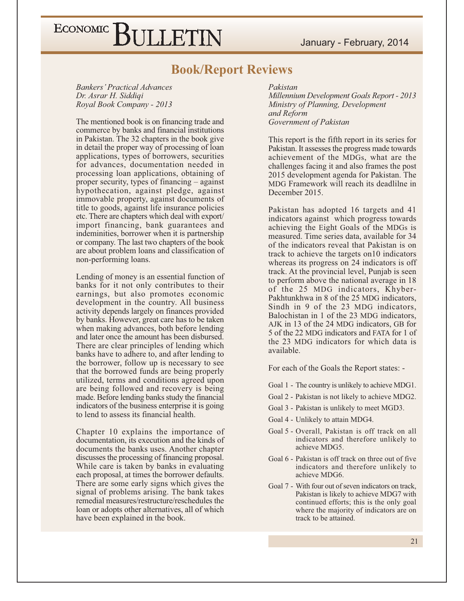January - February, 2014

### ECONOMIC BULLETIN

#### **Book/Report Reviews**

**Bankers' Practical Advances** Dr. Asrar H. Siddigi Royal Book Company - 2013

The mentioned book is on financing trade and commerce by banks and financial institutions in Pakistan. The 32 chapters in the book give in detail the proper way of processing of loan applications, types of borrowers, securities for advances, documentation needed in processing loan applications, obtaining of proper security, types of financing  $-$  against hypothecation, against pledge, against immovable property, against documents of title to goods, against life insurance policies etc. There are chapters which deal with export/ import financing, bank guarantees and indeminities, borrower when it is partnership or company. The last two chapters of the book are about problem loans and classification of non-performing loans.

Lending of money is an essential function of banks for it not only contributes to their earnings, but also promotes economic development in the country. All business activity depends largely on finances provided by banks. However, great care has to be taken when making advances, both before lending and later once the amount has been disbursed. There are clear principles of lending which banks have to adhere to, and after lending to the borrower, follow up is necessary to see that the borrowed funds are being properly utilized, terms and conditions agreed upon are being followed and recovery is being made. Before lending banks study the financial indicators of the business enterprise it is going to lend to assess its financial health.

Chapter 10 explains the importance of documentation, its execution and the kinds of documents the banks uses. Another chapter discusses the processing of financing proposal. While care is taken by banks in evaluating each proposal, at times the borrower defaults. There are some early signs which gives the signal of problems arising. The bank takes remedial measures/restructure/reschedules the loan or adopts other alternatives, all of which have been explained in the book.

Pakistan **Millennium Development Goals Report - 2013** Ministry of Planning, Development and Reform Government of Pakistan

This report is the fifth report in its series for Pakistan. It assesses the progress made towards achievement of the MDGs, what are the challenges facing it and also frames the post 2015 development agenda for Pakistan. The MDG Framework will reach its deadlilne in December 2015.

Pakistan has adopted 16 targets and 41 indicators against which progress towards achieving the Eight Goals of the MDGs is measured. Time series data, available for 34 of the indicators reveal that Pakistan is on track to achieve the targets on10 indicators whereas its progress on 24 indicators is off track. At the provincial level, Punjab is seen to perform above the national average in 18 of the 25 MDG indicators, Khyber-Pakhtunkhwa in 8 of the 25 MDG indicators, Sindh in 9 of the 23 MDG indicators, Balochistan in 1 of the 23 MDG indicators, AJK in 13 of the 24 MDG indicators, GB for 5 of the 22 MDG indicators and FATA for 1 of the 23 MDG indicators for which data is available.

For each of the Goals the Report states: -

- Goal 1 The country is unlikely to achieve MDG1.
- Goal 2 Pakistan is not likely to achieve MDG2.
- Goal 3 Pakistan is unlikely to meet MGD3.
- Goal 4 Unlikely to attain MDG4.
- Goal 5 Overall, Pakistan is off track on all indicators and therefore unlikely to achieve MDG5.
- Goal 6 Pakistan is off track on three out of five indicators and therefore unlikely to achieve MDG6.
- Goal 7 With four out of seven indicators on track, Pakistan is likely to achieve MDG7 with continued efforts; this is the only goal where the majority of indicators are on track to be attained.

 $21$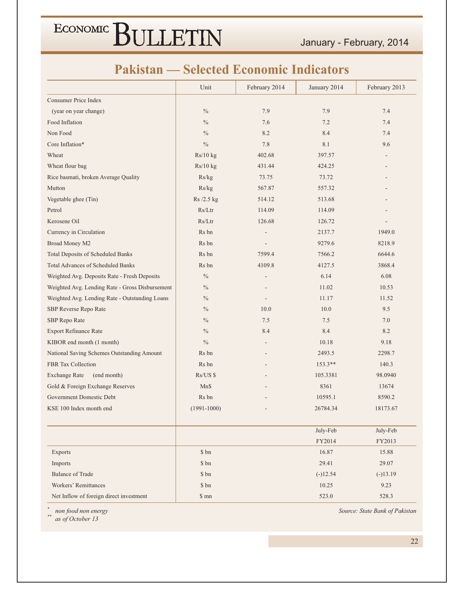January - February, 2014

#### **Pakistan — Selected Economic Indicators**

|                                                 | Unit            | February 2014                | January 2014 | February 2013 |  |
|-------------------------------------------------|-----------------|------------------------------|--------------|---------------|--|
| Consumer Price Index                            |                 |                              |              |               |  |
| (year on year change)                           | $\%$            | 7.9                          | 7.9          | 7.4           |  |
| Food Inflation                                  | $\%$            | 7.6                          | 7.2          | 7.4           |  |
| Non Food                                        | $\%$            | 8.2                          | 8.4          | 7.4           |  |
| Core Inflation*                                 | $\frac{0}{0}$   | 7.8                          | 8.1          | 9.6           |  |
| Wheat                                           | Rs/10 kg        | 402.68                       | 397.57       |               |  |
| Wheat flour bag                                 | Rs/10 kg        | 431.44                       | 424.25       |               |  |
| Rice basmati, broken Average Quality            | Rs/kg           | 73.75                        | 73.72        |               |  |
| Mutton                                          | Rs/kg           | 567.87                       | 557.32       |               |  |
| Vegetable ghee (Tin)                            | Rs/2.5 kg       | 514.12                       | 513.68       |               |  |
| Petrol                                          | Rs/Ltr          | 114.09                       | 114.09       |               |  |
| Kerosene Oil                                    | Rs/Ltr          | 126.68                       | 126.72       |               |  |
| Currency in Circulation                         | Rs bn           |                              | 2137.7       | 1949.0        |  |
| Broad Money M2                                  | Rs bn           |                              | 9279.6       | 8218.9        |  |
| <b>Total Deposits of Scheduled Banks</b>        | Rs bn           | 7599.4                       | 7566.2       | 6644.6        |  |
| <b>Total Advances of Scheduled Banks</b>        | Rs bn           | 4109.8                       | 4127.5       | 3868.4        |  |
| Weighted Avg. Deposits Rate - Fresh Deposits    | $\frac{0}{0}$   | $\overline{a}$               | 6.14         | 6.08          |  |
| Weighted Avg. Lending Rate - Gross Disbursement | $\%$            |                              | 11.02        | 10.53         |  |
| Weighted Avg. Lending Rate - Outstanding Loans  | $\%$            |                              | 11.17        | 11.52         |  |
| SBP Reverse Repo Rate                           | $\%$            | 10.0                         | 10.0         | 9.5           |  |
| SBP Repo Rate                                   | $\%$            | 7.5                          | 7.5          | 7.0           |  |
| <b>Export Refinance Rate</b>                    | $\%$            | 8.4                          | 8.4          | 8.2           |  |
| KIBOR end month (1 month)                       | $\%$            | $\qquad \qquad \blacksquare$ | 10.18        | 9.18          |  |
| National Saving Schemes Outstanding Amount      | Rs bn           |                              | 2493.5       | 2298.7        |  |
| <b>FBR Tax Collection</b>                       | Rs bn           |                              | 153.3**      | 140.3         |  |
| (end month)<br><b>Exchange Rate</b>             | Rs/US \$        |                              | 105.3381     | 98.0940       |  |
| Gold & Foreign Exchange Reserves                | Mn\$            |                              | 8361         | 13674         |  |
| Government Domestic Debt                        | Rs bn           |                              | 10595.1      | 8590.2        |  |
| KSE 100 Index month end                         | $(1991 - 1000)$ |                              | 26784.34     | 18173.67      |  |
|                                                 |                 |                              | July-Feb     | July-Feb      |  |
|                                                 |                 |                              | FY2014       | FY2013        |  |
| Exports                                         | \$ bn           |                              | 16.87        | 15.88         |  |
| Imports                                         | \$ bn           |                              | 29.41        | 29.07         |  |
| <b>Balance of Trade</b>                         | \$ bn           |                              | $(-)12.54$   | $(-)13.19$    |  |
| Workers' Remittances                            | \$ bn           |                              | 10.25        | 9.23          |  |
| Net Inflow of foreign direct investment         | \$mn            |                              | 523.0        | 528.3         |  |

 $\ast$ non food non energy

 $\ast\ast$ as of October 13 Source: State Bank of Pakistan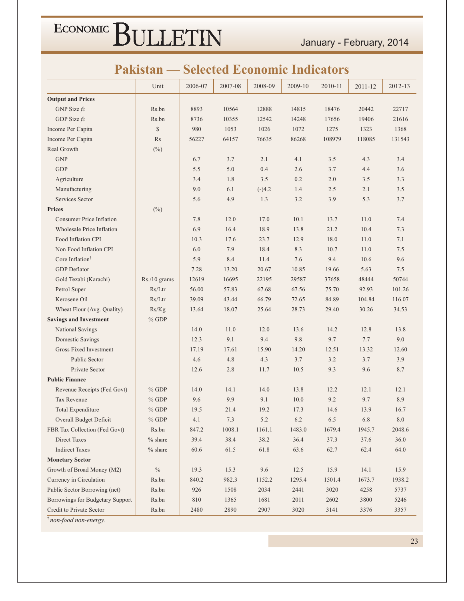January - February, 2014

### **Pakistan — Selected Economic Indicators**

|                                  | Unit         | 2006-07  | 2007-08 | 2008-09  | 2009-10 | 2010-11 | 2011-12 | 2012-13 |
|----------------------------------|--------------|----------|---------|----------|---------|---------|---------|---------|
| <b>Output and Prices</b>         |              |          |         |          |         |         |         |         |
| GNP Size $fc$                    | Rs.bn        | 8893     | 10564   | 12888    | 14815   | 18476   | 20442   | 22717   |
| GDP Size fc                      | Rs.bn        | 8736     | 10355   | 12542    | 14248   | 17656   | 19406   | 21616   |
| Income Per Capita                | $\mathbb{S}$ | 980      | 1053    | 1026     | 1072    | 1275    | 1323    | 1368    |
|                                  | Rs           | 56227    | 64157   | 76635    | 86268   | 108979  | 118085  | 131543  |
| Income Per Capita<br>Real Growth |              |          |         |          |         |         |         |         |
| <b>GNP</b>                       | $(\%)$       |          | 3.7     | 2.1      | 4.1     | 3.5     | 4.3     |         |
| <b>GDP</b>                       |              | 6.7      |         |          |         |         |         | 3.4     |
|                                  |              | 5.5      | 5.0     | 0.4      | 2.6     | 3.7     | 4.4     | 3.6     |
| Agriculture                      |              | 3.4      | 1.8     | 3.5      | 0.2     | 2.0     | 3.5     | 3.3     |
| Manufacturing                    |              | 9.0      | 6.1     | $(-)4.2$ | 1.4     | 2.5     | 2.1     | 3.5     |
| Services Sector                  |              | 5.6      | 4.9     | 1.3      | 3.2     | 3.9     | 5.3     | 3.7     |
| <b>Prices</b>                    | $(\%)$       |          |         |          |         |         |         |         |
| <b>Consumer Price Inflation</b>  |              | 7.8      | 12.0    | 17.0     | 10.1    | 13.7    | 11.0    | 7.4     |
| Wholesale Price Inflation        |              | 6.9      | 16.4    | 18.9     | 13.8    | 21.2    | 10.4    | 7.3     |
| Food Inflation CPI               |              | 10.3     | 17.6    | 23.7     | 12.9    | 18.0    | 11.0    | 7.1     |
| Non Food Inflation CPI           |              | 6.0      | 7.9     | 18.4     | 8.3     | 10.7    | 11.0    | 7.5     |
| Core Inflation <sup>†</sup>      |              | 5.9      | 8.4     | 11.4     | 7.6     | 9.4     | 10.6    | 9.6     |
| <b>GDP</b> Deflator              |              | 7.28     | 13.20   | 20.67    | 10.85   | 19.66   | 5.63    | 7.5     |
| Gold Tezabi (Karachi)            | Rs./10 grams | 12619    | 16695   | 22195    | 29587   | 37658   | 48444   | 50744   |
| Petrol Super                     | Rs/Ltr       | 56.00    | 57.83   | 67.68    | 67.56   | 75.70   | 92.93   | 101.26  |
| Kerosene Oil                     | Rs/Ltr       | 39.09    | 43.44   | 66.79    | 72.65   | 84.89   | 104.84  | 116.07  |
| Wheat Flour (Avg. Quality)       | Rs/Kg        | 13.64    | 18.07   | 25.64    | 28.73   | 29.40   | 30.26   | 34.53   |
| <b>Savings and Investment</b>    | $%$ GDP      |          |         |          |         |         |         |         |
| National Savings                 |              | 14.0     | 11.0    | 12.0     | 13.6    | 14.2    | 12.8    | 13.8    |
| Domestic Savings                 |              | 12.3     | 9.1     | 9.4      | 9.8     | 9.7     | 7.7     | 9.0     |
| Gross Fixed Investment           |              | 17.19    | 17.61   | 15.90    | 14.20   | 12.51   | 13.32   | 12.60   |
| <b>Public Sector</b>             |              | 4.6      | 4.8     | 4.3      | 3.7     | 3.2     | 3.7     | 3.9     |
| Private Sector                   |              | 12.6     | 2.8     | 11.7     | 10.5    | 9.3     | 9.6     | 8.7     |
| <b>Public Finance</b>            |              |          |         |          |         |         |         |         |
| Revenue Receipts (Fed Govt)      | $%$ GDP      | 14.0     | 14.1    | 14.0     | 13.8    | 12.2    | 12.1    | 12.1    |
| <b>Tax Revenue</b>               | $%$ GDP      | 9.6      | 9.9     | 9.1      | 10.0    | 9.2     | 9.7     | 8.9     |
| Total Expenditure                | $%$ GDP      | 19.5     | 21.4    | 19.2     | 17.3    | 14.6    | 13.9    | 16.7    |
| Overall Budget Deficit           | $\%$ GDP     | 4.1      | 7.3     | 5.2      | 6.2     | 6.5     | 6.8     | 8.0     |
| FBR Tax Collection (Fed Govt)    | Rs.bn        | 847.2    | 1008.1  | 1161.1   | 1483.0  | 1679.4  | 1945.7  | 2048.6  |
| Direct Taxes                     | $%$ share    | 39.4     | 38.4    | 38.2     | 36.4    | 37.3    | 37.6    | 36.0    |
| <b>Indirect Taxes</b>            | $%$ share    | $60.6\,$ | 61.5    | 61.8     | 63.6    | 62.7    | 62.4    | 64.0    |
| <b>Monetary Sector</b>           |              |          |         |          |         |         |         |         |
| Growth of Broad Money (M2)       | $\%$         | 19.3     | 15.3    | 9.6      | 12.5    | 15.9    | 14.1    | 15.9    |
| Currency in Circulation          | Rs.bn        | 840.2    | 982.3   | 1152.2   | 1295.4  | 1501.4  | 1673.7  | 1938.2  |
| Public Sector Borrowing (net)    | Rs.bn        | 926      | 1508    | 2034     | 2441    | 3020    | 4258    | 5737    |
| Borrowings for Budgetary Support | Rs.bn        | $810\,$  | 1365    | 1681     | 2011    | 2602    | 3800    | 5246    |
| Credit to Private Sector         | Rs.bn        | 2480     | 2890    | 2907     | 3020    | 3141    | 3376    | 3357    |
|                                  |              |          |         |          |         |         |         |         |

non-food non-energy.